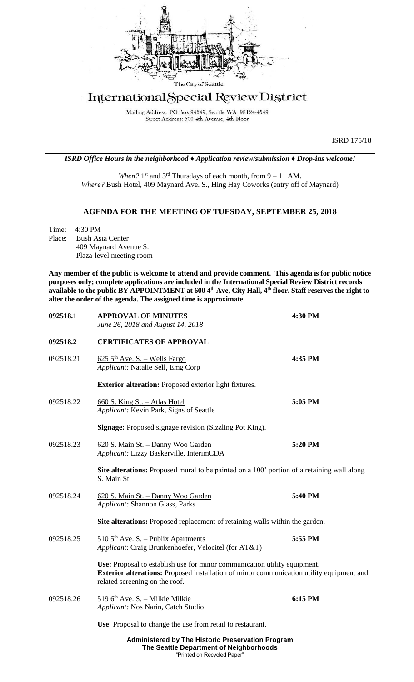

## International Special Review District

Mailing Address: PO Box 94649, Seattle WA 98124-4649 Street Address: 600 4th Avenue, 4th Floor

ISRD 175/18

*ISRD Office Hours in the neighborhood ♦ Application review/submission ♦ Drop-ins welcome!*

When? 1<sup>st</sup> and 3<sup>rd</sup> Thursdays of each month, from 9 – 11 AM. *Where?* Bush Hotel, 409 Maynard Ave. S., Hing Hay Coworks (entry off of Maynard)

## **AGENDA FOR THE MEETING OF TUESDAY, SEPTEMBER 25, 2018**

Time: 4:30 PM Place: Bush Asia Center 409 Maynard Avenue S. Plaza-level meeting room

**Any member of the public is welcome to attend and provide comment. This agenda is for public notice purposes only; complete applications are included in the International Special Review District records available to the public BY APPOINTMENT at 600 4th Ave, City Hall, 4th floor. Staff reserves the right to alter the order of the agenda. The assigned time is approximate.** 

| 092518.1  | <b>APPROVAL OF MINUTES</b><br>June 26, 2018 and August 14, 2018                                                                                                                                         | 4:30 PM |
|-----------|---------------------------------------------------------------------------------------------------------------------------------------------------------------------------------------------------------|---------|
| 092518.2  | <b>CERTIFICATES OF APPROVAL</b>                                                                                                                                                                         |         |
| 092518.21 | $625.5$ <sup>th</sup> Ave. S. - Wells Fargo<br>Applicant: Natalie Sell, Emg Corp                                                                                                                        | 4:35 PM |
|           | <b>Exterior alteration:</b> Proposed exterior light fixtures.                                                                                                                                           |         |
| 092518.22 | 660 S. King St. - Atlas Hotel<br>Applicant: Kevin Park, Signs of Seattle                                                                                                                                | 5:05 PM |
|           | <b>Signage:</b> Proposed signage revision (Sizzling Pot King).                                                                                                                                          |         |
| 092518.23 | 620 S. Main St. - Danny Woo Garden<br>Applicant: Lizzy Baskerville, InterimCDA                                                                                                                          | 5:20 PM |
|           | <b>Site alterations:</b> Proposed mural to be painted on a 100' portion of a retaining wall along<br>S. Main St.                                                                                        |         |
| 092518.24 | 620 S. Main St. - Danny Woo Garden<br>Applicant: Shannon Glass, Parks                                                                                                                                   | 5:40 PM |
|           | Site alterations: Proposed replacement of retaining walls within the garden.                                                                                                                            |         |
| 092518.25 | $5105$ <sup>th</sup> Ave. S. - Publix Apartments<br>Applicant: Craig Brunkenhoefer, Velocitel (for AT&T)                                                                                                | 5:55 PM |
|           | Use: Proposal to establish use for minor communication utility equipment.<br>Exterior alterations: Proposed installation of minor communication utility equipment and<br>related screening on the roof. |         |
| 092518.26 | 519 6th Ave. S. - Milkie Milkie<br>Applicant: Nos Narin, Catch Studio                                                                                                                                   | 6:15 PM |
|           | Use: Proposal to change the use from retail to restaurant.                                                                                                                                              |         |
|           | Administered by The Historic Preservation Program                                                                                                                                                       |         |